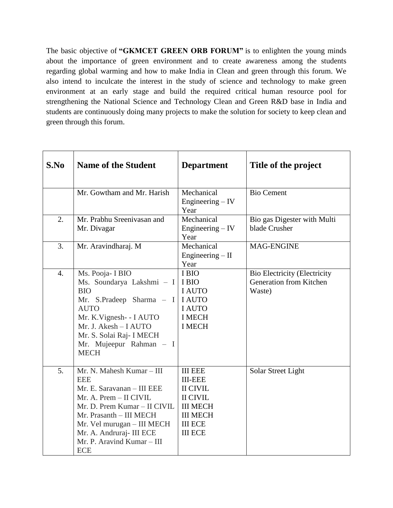The basic objective of **"GKMCET GREEN ORB FORUM"** is to enlighten the young minds about the importance of green environment and to create awareness among the students regarding global warming and how to make India in Clean and green through this forum. We also intend to inculcate the interest in the study of science and technology to make green environment at an early stage and build the required critical human resource pool for strengthening the National Science and Technology Clean and Green R&D base in India and students are continuously doing many projects to make the solution for society to keep clean and green through this forum.

| S.No             | <b>Name of the Student</b>                                                                                                                                                                                                                                       | <b>Department</b>                                                                                                                                | Title of the project                                                     |
|------------------|------------------------------------------------------------------------------------------------------------------------------------------------------------------------------------------------------------------------------------------------------------------|--------------------------------------------------------------------------------------------------------------------------------------------------|--------------------------------------------------------------------------|
|                  | Mr. Gowtham and Mr. Harish                                                                                                                                                                                                                                       | Mechanical<br>Engineering $-$ IV<br>Year                                                                                                         | <b>Bio Cement</b>                                                        |
| $\overline{2}$ . | Mr. Prabhu Sreenivasan and<br>Mr. Divagar                                                                                                                                                                                                                        | Mechanical<br>Engineering – IV<br>Year                                                                                                           | Bio gas Digester with Multi<br>blade Crusher                             |
| 3.               | Mr. Aravindharaj. M                                                                                                                                                                                                                                              | Mechanical<br>Engineering $-$ II<br>Year                                                                                                         | MAG-ENGINE                                                               |
| 4.               | Ms. Pooja- I BIO<br>Ms. Soundarya Lakshmi - I<br><b>BIO</b><br>Mr. S.Pradeep Sharma - I<br><b>AUTO</b><br>Mr. K.Vignesh- - I AUTO<br>Mr. J. Akesh - I AUTO<br>Mr. S. Solai Raj- I MECH<br>Mr. Mujeepur Rahman - I<br><b>MECH</b>                                 | I BIO<br>I BIO<br><b>I AUTO</b><br><b>I AUTO</b><br><b>I AUTO</b><br><b>I MECH</b><br><b>I MECH</b>                                              | <b>Bio Electricity (Electricity</b><br>Generation from Kitchen<br>Waste) |
| 5.               | Mr. N. Mahesh Kumar - III<br><b>EEE</b><br>Mr. E. Saravanan - III EEE<br>Mr. A. Prem - II CIVIL<br>Mr. D. Prem Kumar - II CIVIL<br>Mr. Prasanth - III MECH<br>Mr. Vel murugan – III MECH<br>Mr. A. Andruraj- III ECE<br>Mr. P. Aravind Kumar - III<br><b>ECE</b> | <b>III EEE</b><br><b>III-EEE</b><br><b>II CIVIL</b><br><b>II CIVIL</b><br><b>III MECH</b><br><b>III MECH</b><br><b>III ECE</b><br><b>III ECE</b> | Solar Street Light                                                       |